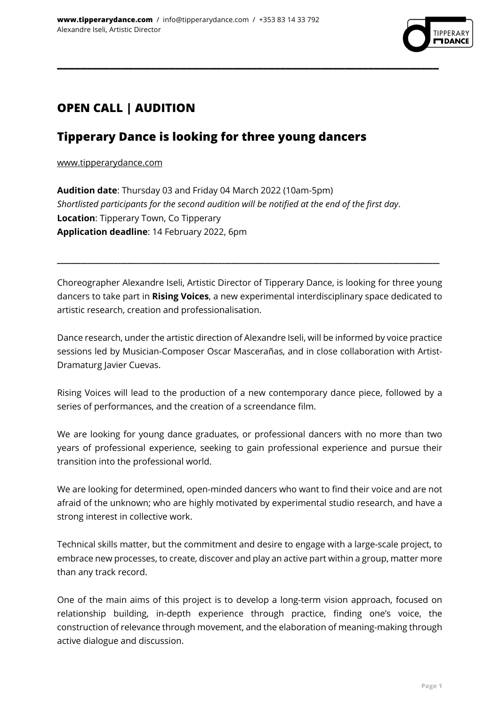

# **OPEN CALL | AUDITION**

## **Tipperary Dance is looking for three young dancers**

www.tipperarydance.com

**Audition date**: Thursday 03 and Friday 04 March 2022 (10am-5pm) *Shortlisted participants for the second audition will be notified at the end of the first day*. **Location**: Tipperary Town, Co Tipperary **Application deadline**: 14 February 2022, 6pm

**\_\_\_\_\_\_\_\_\_\_\_\_\_\_\_\_\_\_\_\_\_\_\_\_\_\_\_\_\_\_\_\_\_\_\_\_\_\_\_\_\_\_\_\_\_\_\_\_\_\_\_\_\_\_\_\_\_\_\_\_\_\_\_\_\_**

Choreographer Alexandre Iseli, Artistic Director of Tipperary Dance, is looking for three young dancers to take part in **Rising Voices**, a new experimental interdisciplinary space dedicated to artistic research, creation and professionalisation.

**\_\_\_\_\_\_\_\_\_\_\_\_\_\_\_\_\_\_\_\_\_\_\_\_\_\_\_\_\_\_\_\_\_\_\_\_\_\_\_\_\_\_\_\_\_\_\_\_\_\_\_\_\_\_\_\_\_\_\_\_\_\_\_\_\_\_\_\_\_\_\_\_\_\_\_\_\_\_\_\_\_\_\_\_\_\_\_\_\_\_\_\_\_\_\_\_\_\_\_\_\_\_\_\_\_\_\_\_\_\_\_\_\_\_**

Dance research, under the artistic direction of Alexandre Iseli, will be informed by voice practice sessions led by Musician-Composer Oscar Mascerañas, and in close collaboration with Artist-Dramaturg Javier Cuevas.

Rising Voices will lead to the production of a new contemporary dance piece, followed by a series of performances, and the creation of a screendance film.

We are looking for young dance graduates, or professional dancers with no more than two years of professional experience, seeking to gain professional experience and pursue their transition into the professional world.

We are looking for determined, open-minded dancers who want to find their voice and are not afraid of the unknown; who are highly motivated by experimental studio research, and have a strong interest in collective work.

Technical skills matter, but the commitment and desire to engage with a large-scale project, to embrace new processes, to create, discover and play an active part within a group, matter more than any track record.

One of the main aims of this project is to develop a long-term vision approach, focused on relationship building, in-depth experience through practice, finding one's voice, the construction of relevance through movement, and the elaboration of meaning-making through active dialogue and discussion.